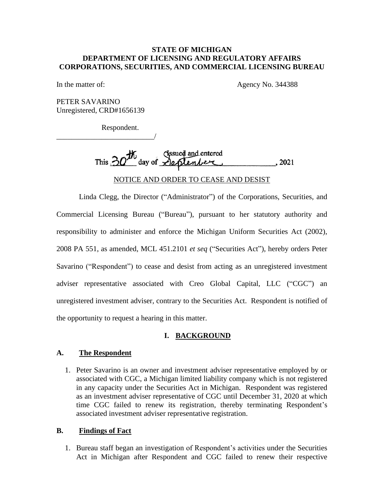### STATE OF MICHIGAN **STATE OF MICHIGAN** DEPARTMENT OF LICENSING AND REGULATORY AFFAIRS **DEPARTMENT OF LICENSING AND REGULATORY AFFAIRS** CORPORATIONS, SECURITIES, AND COMMERCIAL LICENSING BUREAU **CORPORATIONS, SECURITIES, AND COMMERCIAL LICENSING BUREAU**

In the matter of: Agency No. 344388

PETER SAVARINO Unregistered, CRD#1656139 Unregistered, CRD#1656139

\_\_\_\_\_\_\_\_\_\_\_\_\_\_\_\_\_\_\_\_\_\_\_\_\_\_/

Respondent. Respondent.

/

Issued and entered This  $20^{\circ}$  day of  $\triangle$ eplenber , 2021 Issued and entered This  $20'$  day of  $\triangle$  plenber

NOTICE AND ORDER TO CEASE AND DESIST NOTICE AND ORDER TO CEASE AND DESIST

Linda Clegg, the Director ("Administrator") of the Corporations, Securities, and Linda Clegg, the Director ("Administrator") of the Corporations, Securities, and Commercial Licensing Bureau ("Bureau"), pursuant to her statutory authority and Commercial Licensing Bureau ("Bureau"), pursuant to her statutory authority and responsibility to administer and enforce the Michigan Uniform Securities Act (2002), 2008 PA 551, as amended, MCL 451.2101 et seq ("Securities Act"), hereby orders Peter Savarino ("Respondent") to cease and desist from acting as an unregistered investment adviser representative associated with Creo Global Capital, LLC ("CGC") an unregistered investment adviser, contrary to the Securities Act. Respondent is notified of the opportunity to request a hearing in this matter. the opportunity to request a hearing in this matter. responsibility to administer and enforce the Michigan Uniform Securities Act (2002),<br>2008 PA 551, as amended, MCL 451.2101 *et seq* ("Securities Act"), hereby orders Peter<br>Savarino ("Respondent") to cease and desist from a

# I. BACKGROUND **I. BACKGROUND**

### A. The Respondent **A. The Respondent**

1. Peter Savarino is an owner and investment adviser representative employed by or associated with CGC, a Michigan limited liability company which is not registered in any capacity under the Securities Act in Michigan. Respondent was registered as an investment adviser representative of CGC until December 31, 2020 at which as an investment adviser representative of CGC until December 31, 2020 at which time CGC failed to renew its registration, thereby terminating Respondent's time CGC failed to renew its registration, thereby terminating Respondent's associated investment adviser representative registration. associated investment adviser representative registration. 1. Peter Savarino is an owner and investment adviser representative employed by or associated with CGC, a Michigan limited liability company which is not registered in any capacity under the Securities Act in Michigan. Res

#### B. Findings of Fact **B. Findings of Fact**

1. Bureau staff began an investigation of Respondent's activities under the Securities<br>Act in Michigan after Respondent and CGC failed to renew their respective Act in Michigan after Respondent and CGC failed to renew their respective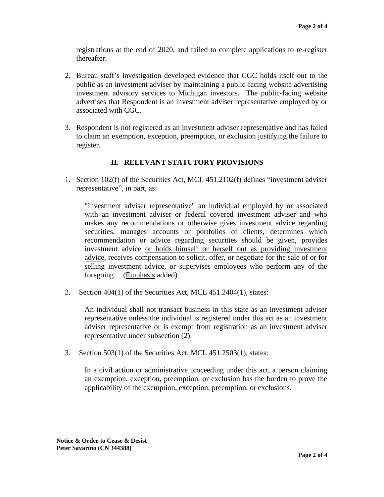registrations at the end of 2020, and failed to complete applications to re-register thereafter.

- 2. Bureau staff's investigation developed evidence that CGC holds itself out to the public as an investment adviser by maintaining a public-facing website advertising investment advisory services to Michigan investors. The public-facing website advertises that Respondent is an investment adviser representative employed by or associated with CGC. thereafter. 2. Bureau staff's investigation developed evidence that CGC holds itself out to the public as an investment adviser by maintaining a public-facing website advertising investment advisory services to Michigan investors. The public-facing website advertises that Respondent is an investment adviser representative employed by or associated with CGC.<br>3. Respondent is not registered as an inv
- 3. Respondent is not registered as an investment adviser representative and has failed to claim an exemption, exception, preemption, or exclusion justifying the failure to to claim an exemption, exception, preemption, or exclusion justifying the failure to register. register.

# II. RELEVANT STATUTORY PROVISIONS  **II. RELEVANT STATUTORY PROVISIONS**

1. Section 102(f) of the Securities Act, MCL 451.2102(f) defines "investment adviser 1. Section 102(f) of the Securities Act, MCL 451.2102(f) defines "investment adviser representative", in part, as:

"Investment adviser representative" an individual employed by or associated with an investment adviser or federal covered investment adviser and who with an investment adviser or federal covered investment adviser and who makes any recommendations or otherwise gives investment advice regarding makes any recommendations or otherwise gives investment advice regarding securities, manages accounts or portfolios of clients, determines which recommendation or advice regarding securities should be given, provides investment advice or holds himself or herself out as providing investment advice, receives compensation to solicit, offer, or negotiate for the sale of or for selling investment advice, or supervises employees who perform any of the foregoing... (Emphasis added).<br>2. Section 404(1) of the Securities Act, MCL 451.2404(1), states: foregoing... (Emphasis added). securities, manages accounts or portfolios of clients, determines which<br>recommendation or advice regarding securities should be given, provides<br>investment advice <u>or holds himself or herself out as providing investment</u><br>ad

2. Section 404(1) of the Securities Act, MCL 451.2404(1), states:

An individual shall not transact business in this state as an investment adviser An individual shall not transact business in this state as an investment adviser representative unless the individual is registered under this act as an investment adviser representative or is exempt from registration as an investment adviser representative under subsection (2). representative unless the individual is registered under this act as an investment<br>adviser representative or is exempt from registration as an investment adviser<br>representative under subsection (2).<br>3. Section 503(1) of th

3. Section 503(1) of the Securities Act, MCL 451.2503(1), states:

In a civil action or administrative proceeding under this act, a person claiming an exemption, exception, preemption, or exclusion has the burden to prove the applicability of the exemption, exception, preemption, or exclusions. In a civil action or administrative proceeding under this act, a person claiming<br>an exemption, exception, preemption, or exclusion has the burden to prove the<br>applicability of the exemption, exception, preemption, or exclu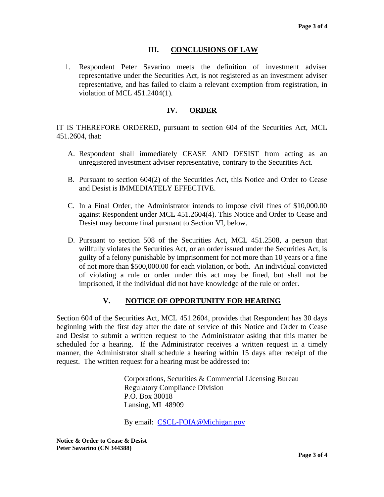# III. CONCLUSIONS OF LAW **III. CONCLUSIONS OF LAW**

1. Respondent Peter Savarino meets the definition of investment adviser representative under the Securities Act, is not registered as an investment adviser representative, and has failed to claim a relevant exemption from registration, in violation of MCL 451.2404(1). violation of MCL 451.2404(1).1. Respondent Peter Savarino meets the definition of investment adviser representative under the Securities Act, is not registered as an investment adviser representative, and has failed to claim a relevant exemption from

### IV. ORDER **IV. ORDER**

IT IS THEREFORE ORDERED, pursuant to section 604 of the Securities Act, MCL IT IS THEREFORE ORDERED, pursuant to section 604 of the Securities Act, MCL 451.2604, that: 451.2604, that:

- A. Respondent shall immediately CEASE AND DESIST from acting as an A. Respondent shall immediately CEASE AND DESIST from acting as an unregistered investment adviser representative, contrary to the Securities Act.
- unregistered investment adviser representative, contrary to the Securities Act.<br>B. Pursuant to section 604(2) of the Securities Act, this Notice and Order to Cease and Desist is IMMEDIATELY EFFECTIVE. and Desist is IMMEDIATELY EFFECTIVE.
- C. In a Final Order, the Administrator intends to impose civil fines of \$10,000.00 C. In a Final Order, the Administrator intends to impose civil fines of \$10,000.00 against Respondent under MCL 451.2604(4). This Notice and Order to Cease and against Respondent under MCL 451.2604(4). This Notice and Order to Cease and Desist may become final pursuant to Section VI, below. Desist may become final pursuant to Section VI, below.
- D. Pursuant to section 508 of the Securities Act, MCL 451.2508, a person that D. Pursuant to section 508 of the Securities Act, MCL 451.2508, a person that willfully violates the Securities Act, or an order issued under the Securities Act, is willfully violates the Securities Act, or an order issued under the Securities Act, is guilty of a felony punishable by imprisonment for not more than 10 years or a fine guilty of a felony punishable by imprisonment for not more than 10 years or a fine of not more than \$500,000.00 for each violation, or both. An individual convicted of violating a rule or order under this act may be fined, but shall not be of violating a rule or order under this act may be fined, but shall not be imprisoned, if the individual did not have knowledge of the rule or order. imprisoned, if the individual did not have knowledge of the rule or order.

## V. NOTICE OF OPPORTUNITY FOR HEARING **V. NOTICE OF OPPORTUNITY FOR HEARING**

Section 604 of the Securities Act, MCL 451.2604, provides that Respondent has 30 days Section 604 of the Securities Act, MCL 451.2604, provides that Respondent has 30 days beginning with the first day after the date of service of this Notice and Order to Cease beginning with the first day after the date of service of this Notice and Order to Cease and Desist to submit a written request to the Administrator asking that this matter be and Desist to submit a written request to the Administrator asking that this matter be scheduled for a hearing. If the Administrator receives a written request in a timely scheduled for a hearing. If the Administrator receives a written request in a timely manner, the Administrator shall schedule a hearing within 15 days after receipt of the manner, the Administrator shall schedule a hearing within 15 days after receipt of the request. The written request for a hearing must be addressed to:<br>Corporations, Securities & Commercial Licensing Bureau

Corporations, Securities & Commercial Licensing Bureau Regulatory Compliance Division Regulatory Compliance Division P.O. Box 30018 P.O. Box 30018 Lansing, MI 48909 Lansing, MI 48909

By email: [CSCL-FOIA@Michigan.gov](mailto:CSCL-FOIA@Michigan.gov)  By email: CSCL-FOIA@Michigan.gov

Notice & Order to Cease & Desist **Notice & Order to Cease & Desist** Peter Savarino (CN 344388) **Peter Savarino (CN 344388)**